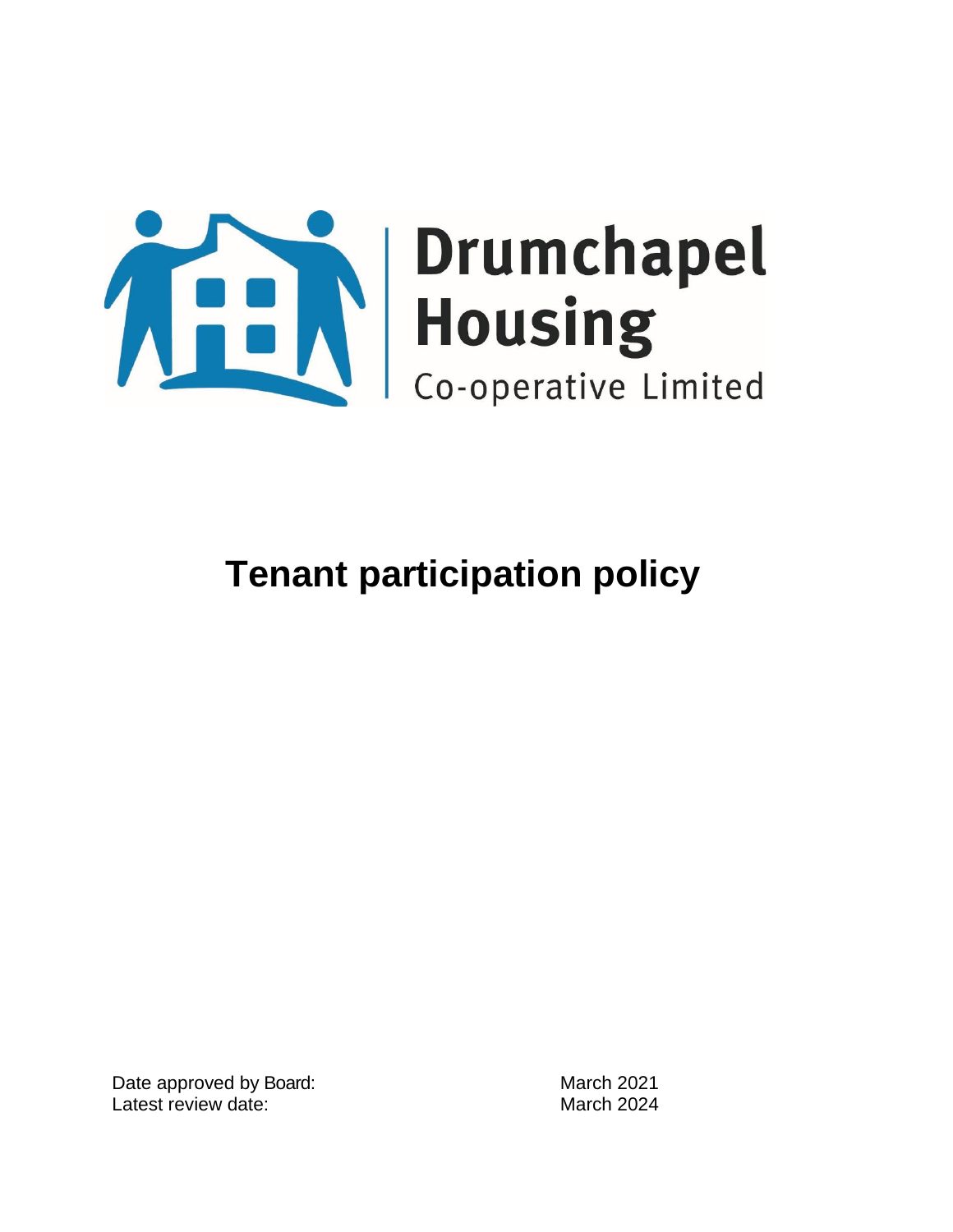

Date approved by Board: March 2021 Latest review date: March 2024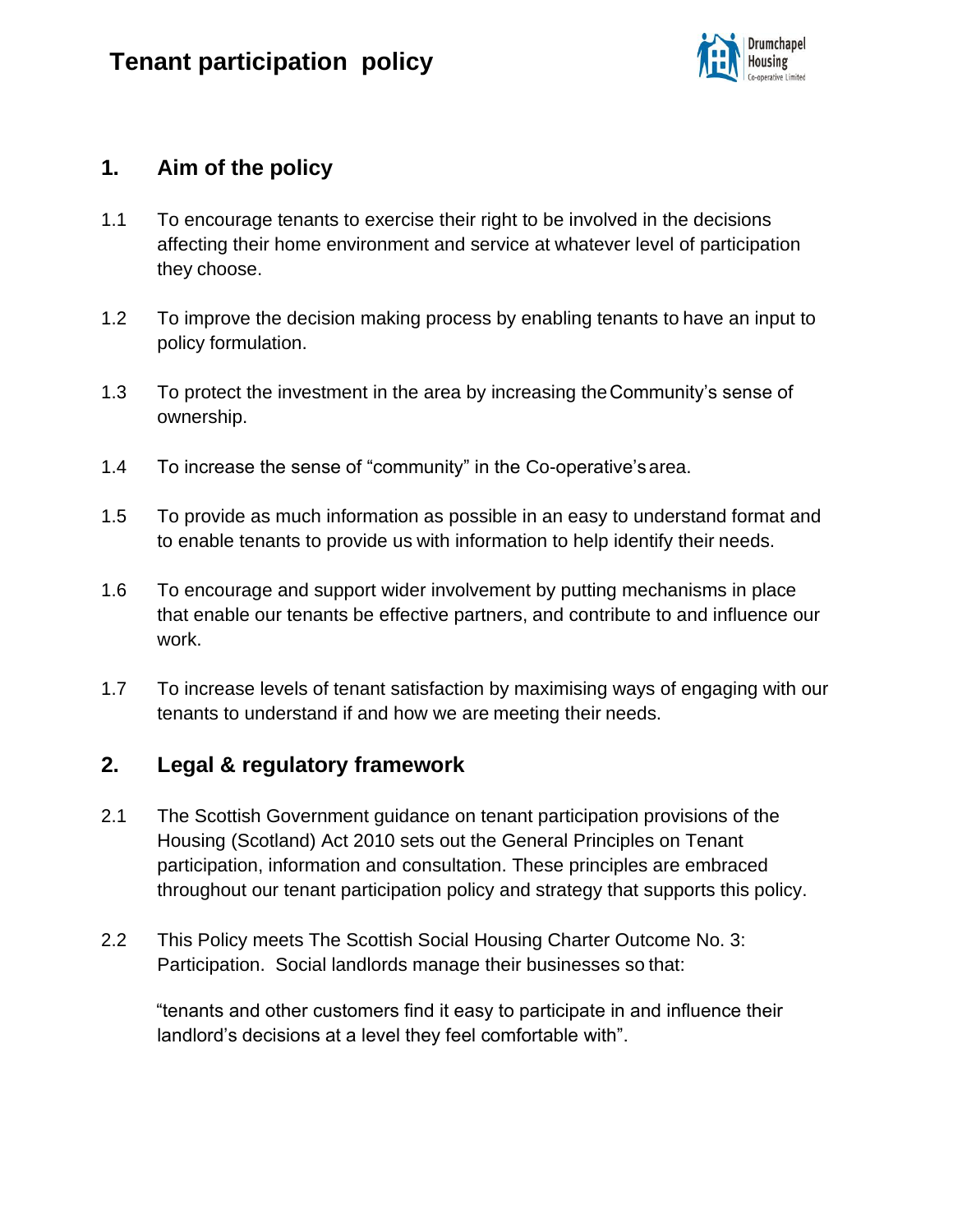

#### **1. Aim of the policy**

- 1.1 To encourage tenants to exercise their right to be involved in the decisions affecting their home environment and service at whatever level of participation they choose.
- 1.2 To improve the decision making process by enabling tenants to have an input to policy formulation.
- 1.3 To protect the investment in the area by increasing theCommunity's sense of ownership.
- 1.4 To increase the sense of "community" in the Co-operative'sarea.
- 1.5 To provide as much information as possible in an easy to understand format and to enable tenants to provide us with information to help identify their needs.
- 1.6 To encourage and support wider involvement by putting mechanisms in place that enable our tenants be effective partners, and contribute to and influence our work.
- 1.7 To increase levels of tenant satisfaction by maximising ways of engaging with our tenants to understand if and how we are meeting their needs.

#### **2. Legal & regulatory framework**

- 2.1 The Scottish Government guidance on tenant participation provisions of the Housing (Scotland) Act 2010 sets out the General Principles on Tenant participation, information and consultation. These principles are embraced throughout our tenant participation policy and strategy that supports this policy.
- 2.2 This Policy meets The Scottish Social Housing Charter Outcome No. 3: Participation. Social landlords manage their businesses so that:

"tenants and other customers find it easy to participate in and influence their landlord's decisions at a level they feel comfortable with".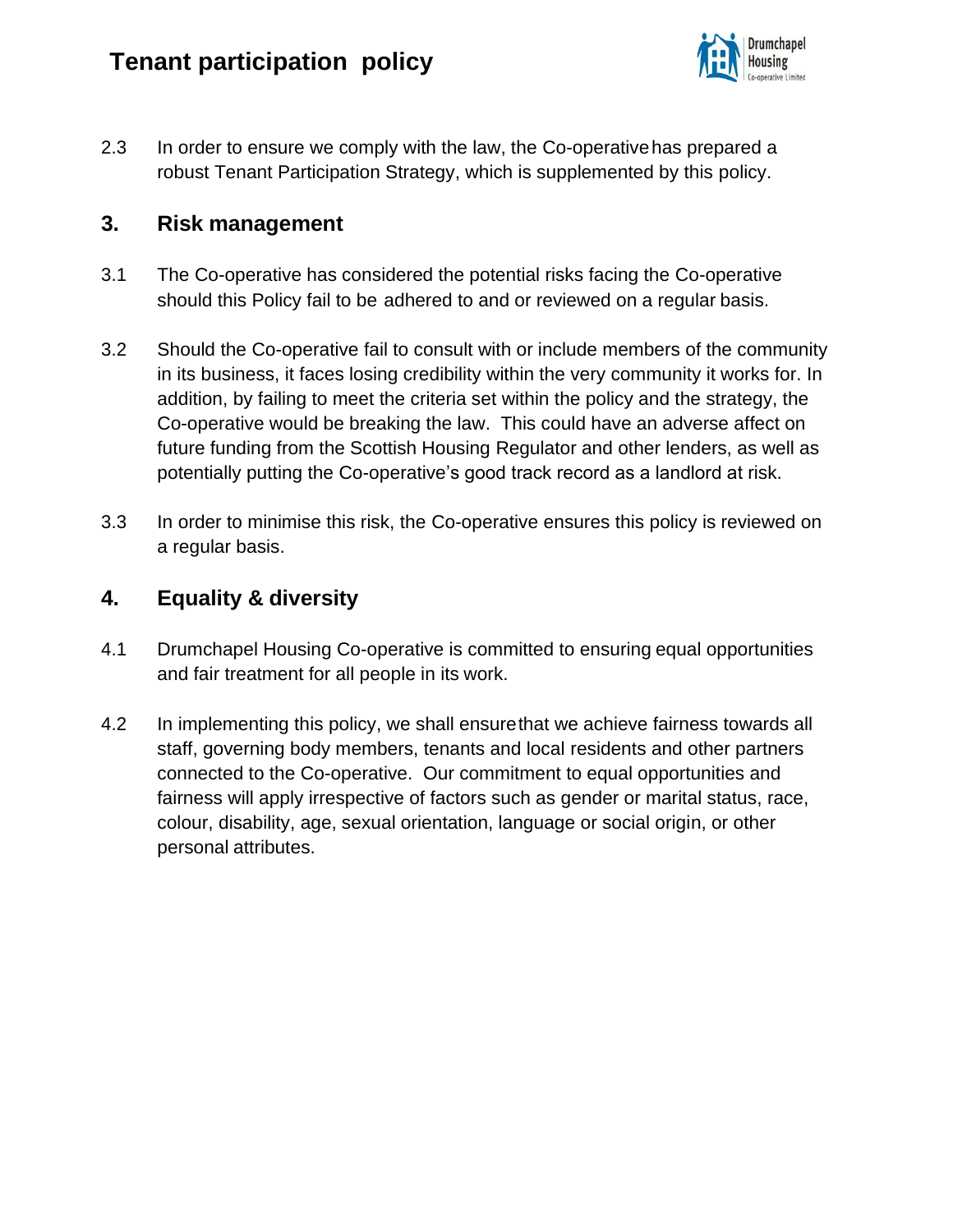

2.3 In order to ensure we comply with the law, the Co-operativehas prepared a robust Tenant Participation Strategy, which is supplemented by this policy.

#### **3. Risk management**

- 3.1 The Co-operative has considered the potential risks facing the Co-operative should this Policy fail to be adhered to and or reviewed on a regular basis.
- 3.2 Should the Co-operative fail to consult with or include members of the community in its business, it faces losing credibility within the very community it works for. In addition, by failing to meet the criteria set within the policy and the strategy, the Co-operative would be breaking the law. This could have an adverse affect on future funding from the Scottish Housing Regulator and other lenders, as well as potentially putting the Co-operative's good track record as a landlord at risk.
- 3.3 In order to minimise this risk, the Co-operative ensures this policy is reviewed on a regular basis.

## **4. Equality & diversity**

- 4.1 Drumchapel Housing Co-operative is committed to ensuring equal opportunities and fair treatment for all people in its work.
- 4.2 In implementing this policy, we shall ensurethat we achieve fairness towards all staff, governing body members, tenants and local residents and other partners connected to the Co-operative. Our commitment to equal opportunities and fairness will apply irrespective of factors such as gender or marital status, race, colour, disability, age, sexual orientation, language or social origin, or other personal attributes.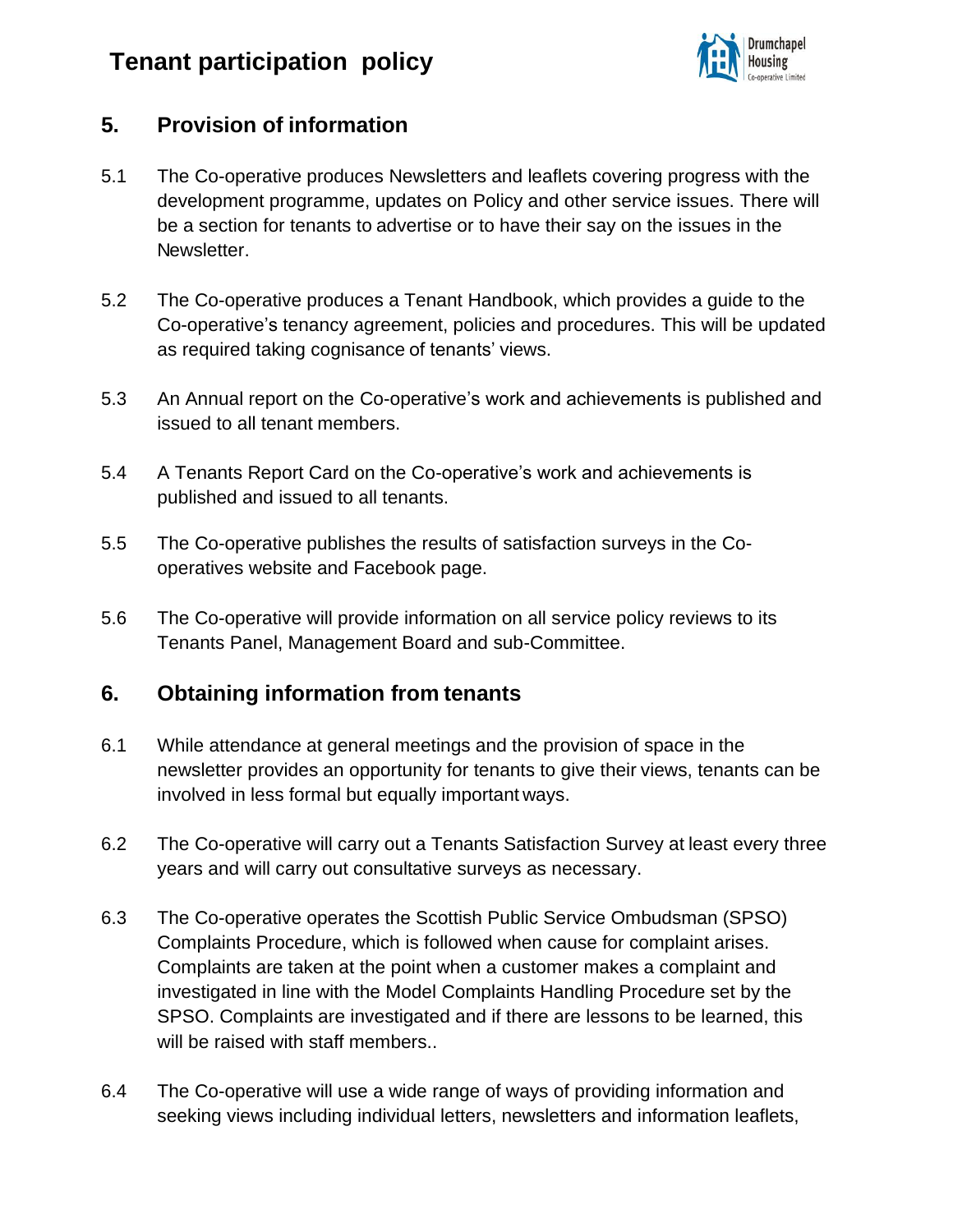

## **5. Provision of information**

- 5.1 The Co-operative produces Newsletters and leaflets covering progress with the development programme, updates on Policy and other service issues. There will be a section for tenants to advertise or to have their say on the issues in the Newsletter.
- 5.2 The Co-operative produces a Tenant Handbook, which provides a guide to the Co-operative's tenancy agreement, policies and procedures. This will be updated as required taking cognisance of tenants' views.
- 5.3 An Annual report on the Co-operative's work and achievements is published and issued to all tenant members.
- 5.4 A Tenants Report Card on the Co-operative's work and achievements is published and issued to all tenants.
- 5.5 The Co-operative publishes the results of satisfaction surveys in the Cooperatives website and Facebook page.
- 5.6 The Co-operative will provide information on all service policy reviews to its Tenants Panel, Management Board and sub-Committee.

#### **6. Obtaining information from tenants**

- 6.1 While attendance at general meetings and the provision of space in the newsletter provides an opportunity for tenants to give their views, tenants can be involved in less formal but equally important ways.
- 6.2 The Co-operative will carry out a Tenants Satisfaction Survey at least every three years and will carry out consultative surveys as necessary.
- 6.3 The Co-operative operates the Scottish Public Service Ombudsman (SPSO) Complaints Procedure, which is followed when cause for complaint arises. Complaints are taken at the point when a customer makes a complaint and investigated in line with the Model Complaints Handling Procedure set by the SPSO. Complaints are investigated and if there are lessons to be learned, this will be raised with staff members..
- 6.4 The Co-operative will use a wide range of ways of providing information and seeking views including individual letters, newsletters and information leaflets,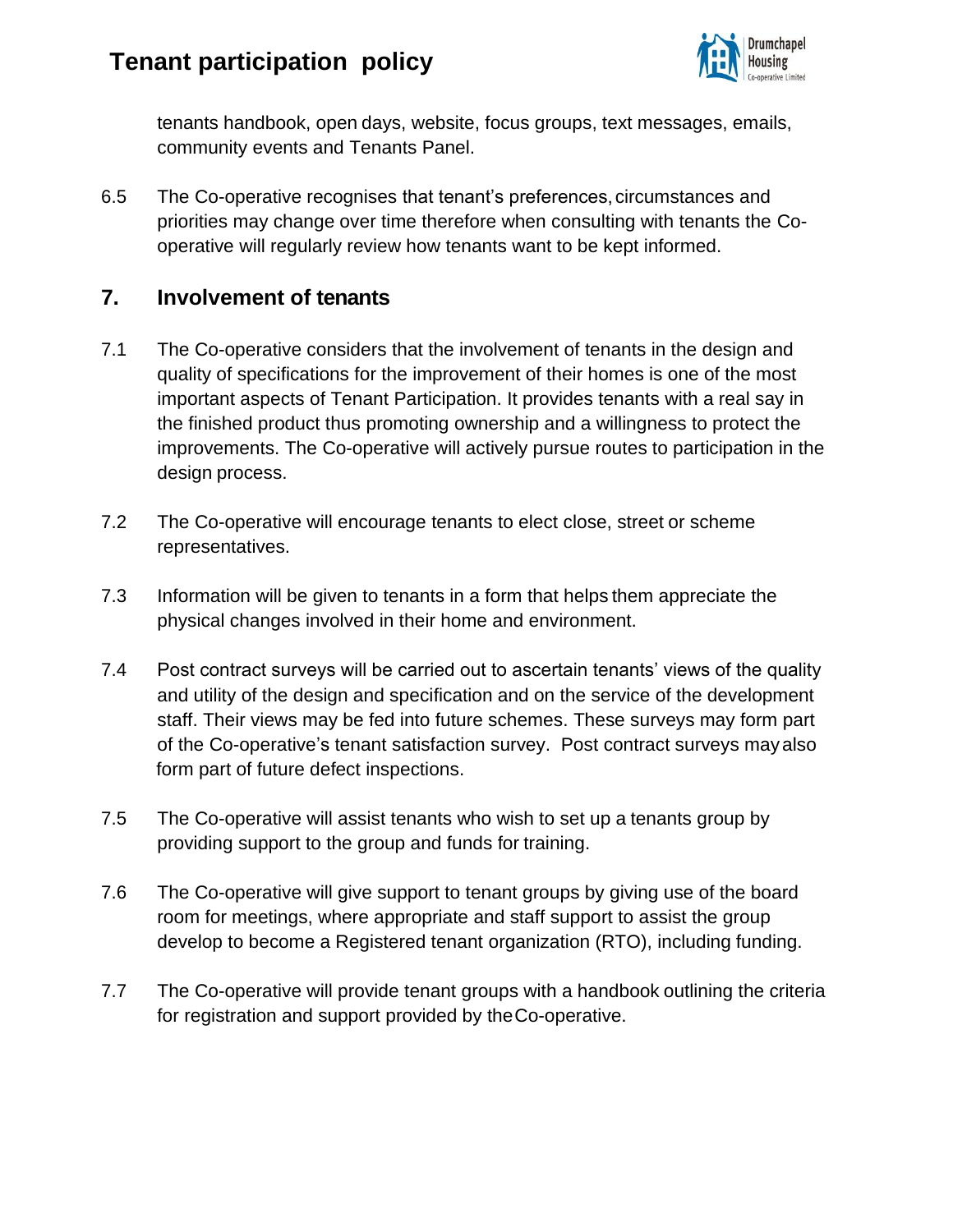

tenants handbook, open days, website, focus groups, text messages, emails, community events and Tenants Panel.

6.5 The Co-operative recognises that tenant's preferences,circumstances and priorities may change over time therefore when consulting with tenants the Cooperative will regularly review how tenants want to be kept informed.

## **7. Involvement of tenants**

- 7.1 The Co-operative considers that the involvement of tenants in the design and quality of specifications for the improvement of their homes is one of the most important aspects of Tenant Participation. It provides tenants with a real say in the finished product thus promoting ownership and a willingness to protect the improvements. The Co-operative will actively pursue routes to participation in the design process.
- 7.2 The Co-operative will encourage tenants to elect close, street or scheme representatives.
- 7.3 Information will be given to tenants in a form that helps them appreciate the physical changes involved in their home and environment.
- 7.4 Post contract surveys will be carried out to ascertain tenants' views of the quality and utility of the design and specification and on the service of the development staff. Their views may be fed into future schemes. These surveys may form part of the Co-operative's tenant satisfaction survey. Post contract surveys mayalso form part of future defect inspections.
- 7.5 The Co-operative will assist tenants who wish to set up a tenants group by providing support to the group and funds for training.
- 7.6 The Co-operative will give support to tenant groups by giving use of the board room for meetings, where appropriate and staff support to assist the group develop to become a Registered tenant organization (RTO), including funding.
- 7.7 The Co-operative will provide tenant groups with a handbook outlining the criteria for registration and support provided by theCo-operative.